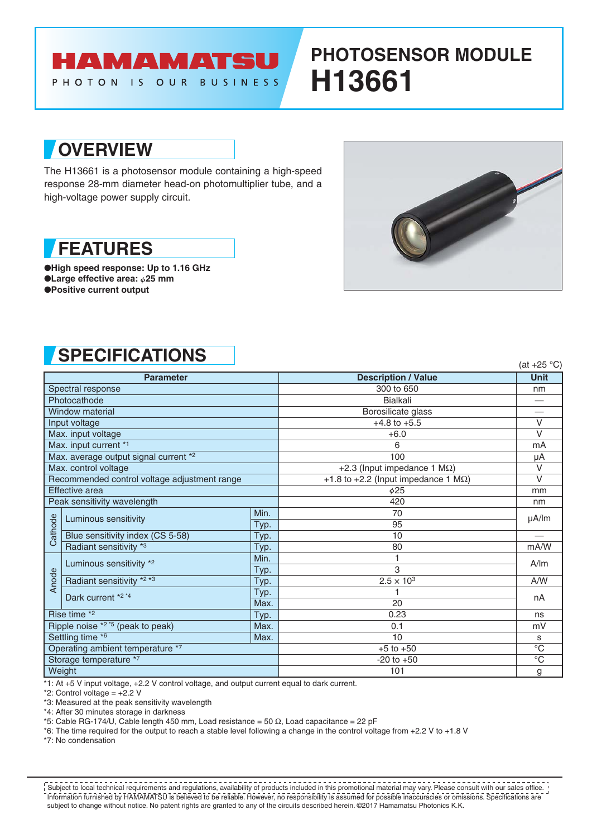### HAMAMATSU PHOTON IS OUR BUSINESS

# **PHOTOSENSOR MODULE H13661**

## **OVERVIEW**

The H13661 is a photosensor module containing a high-speed response 28-mm diameter head-on photomultiplier tube, and a high-voltage power supply circuit.

## **FEATURES**

●**High speed response: Up to 1.16 GHz** ●**Large effective area:**  $\phi$ **25 mm** ●**Positive current output**



# **SPECIFICATIONS** (at +25 °C)

| <b>Parameter</b>                             |                                  |      | <b>Description / Value</b>                  | <b>Unit</b>  |
|----------------------------------------------|----------------------------------|------|---------------------------------------------|--------------|
| Spectral response                            |                                  |      | 300 to 650                                  | nm           |
| Photocathode                                 |                                  |      | <b>Bialkali</b>                             |              |
| <b>Window material</b>                       |                                  |      | Borosilicate glass                          |              |
| Input voltage                                |                                  |      | $+4.8$ to $+5.5$                            | $\vee$       |
| Max. input voltage                           |                                  |      | $+6.0$                                      | $\vee$       |
| Max. input current *1                        |                                  |      | 6                                           | mA           |
| Max. average output signal current *2        |                                  |      | 100                                         | μA           |
| Max. control voltage                         |                                  |      | +2.3 (Input impedance 1 $M\Omega$ )         | V            |
| Recommended control voltage adjustment range |                                  |      | +1.8 to +2.2 (Input impedance 1 $M\Omega$ ) | $\vee$       |
| Effective area                               |                                  |      | $\phi$ 25                                   | mm           |
| Peak sensitivity wavelength                  |                                  |      | 420                                         | nm           |
| Cathode                                      | Luminous sensitivity             | Min. | 70                                          | $\mu$ A/lm   |
|                                              |                                  | Typ. | 95                                          |              |
|                                              | Blue sensitivity index (CS 5-58) | Typ. | 10                                          |              |
|                                              | Radiant sensitivity *3           | Typ. | 80                                          | mA/W         |
| Anode                                        | Luminous sensitivity *2          | Min. |                                             | A/m          |
|                                              |                                  | Typ. | 3                                           |              |
|                                              | Radiant sensitivity *2 *3        | Typ. | $2.5 \times 10^{3}$                         | A/W          |
|                                              | Dark current *2 *4               | Typ. |                                             | nA           |
|                                              |                                  | Max. | 20                                          |              |
| Rise time *2<br>Typ.                         |                                  | 0.23 | ns                                          |              |
| Ripple noise *2 *5 (peak to peak)<br>Max.    |                                  | 0.1  | mV                                          |              |
| Settling time *6<br>Max.                     |                                  | 10   | S                                           |              |
| Operating ambient temperature *7             |                                  |      | $+5$ to $+50$                               | $^{\circ}$ C |
| Storage temperature *7                       |                                  |      | $-20$ to $+50$                              | $^{\circ}$ C |
| Weight                                       |                                  |      | 101                                         | g            |

 $*1$ : At  $+5$  V input voltage,  $+2.2$  V control voltage, and output current equal to dark current.

\*2: Control voltage =  $+2.2$  V

\*3: Measured at the peak sensitivity wavelength

\*4: After 30 minutes storage in darkness

\*5: Cable RG-174/U, Cable length 450 mm, Load resistance = 50  $\Omega$ , Load capacitance = 22 pF

\*6: The time required for the output to reach a stable level following a change in the control voltage from +2.2 V to +1.8 V

\*7: No condensation

Information furnished by HAMAMATSU is believed to be reliable. However, no responsibility is assumed for possible inaccuracies or omissions. Specifications are subject to change without notice. No patent rights are granted to any of the circuits described herein. ©2017 Hamamatsu Photonics K.K. Subject to local technical requirements and regulations, availability of products included in this promotional material may vary. Please consult with our sales office.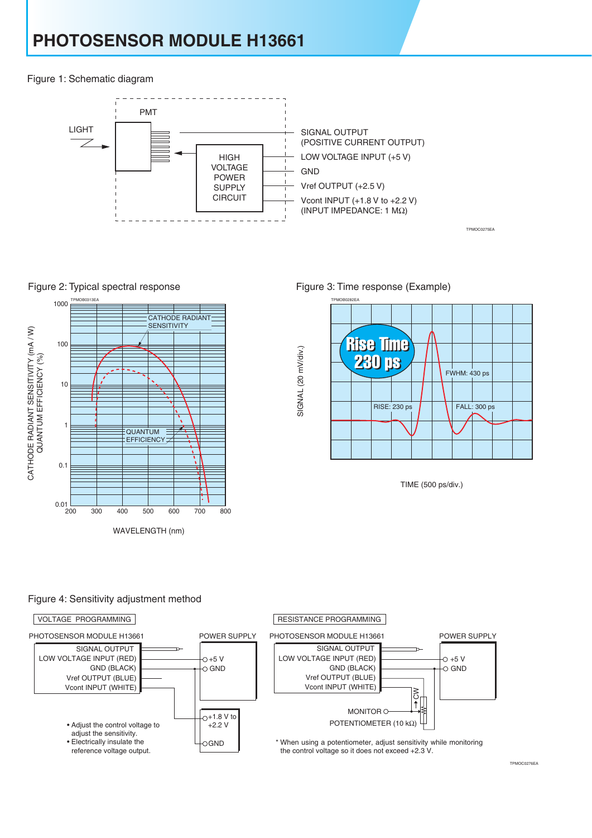Figure 1: Schematic diagram



SIGNAL (20 mV/div.)

SIGNAL (20 mV/div.)





Figure 3: Time response (Example)



TPMOC0275EA

TIME (500 ps/div.)

#### Figure 4: Sensitivity adjustment method

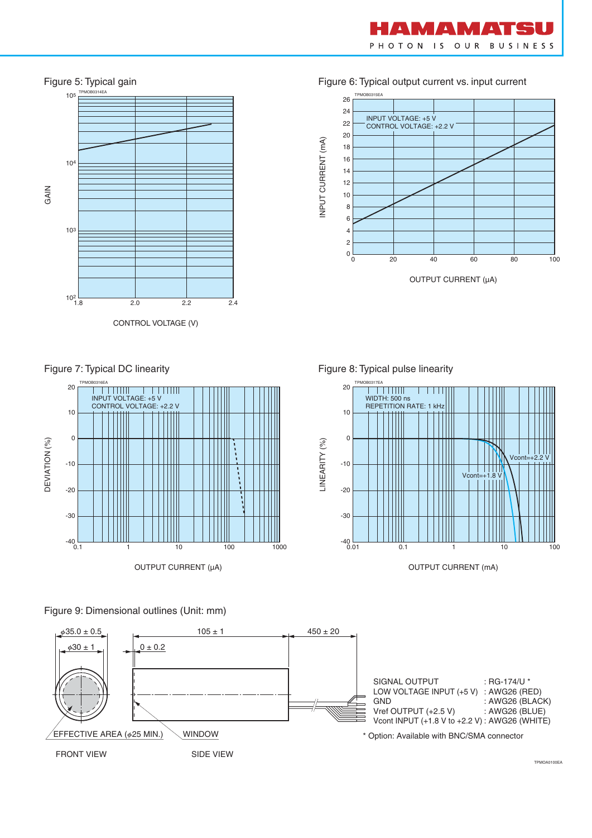



#### Figure 6: Typical output current vs. input current



Figure 7: Typical DC linearity



Figure 8: Typical pulse linearity



OUTPUT CURRENT (mA)

Figure 9: Dimensional outlines (Unit: mm)